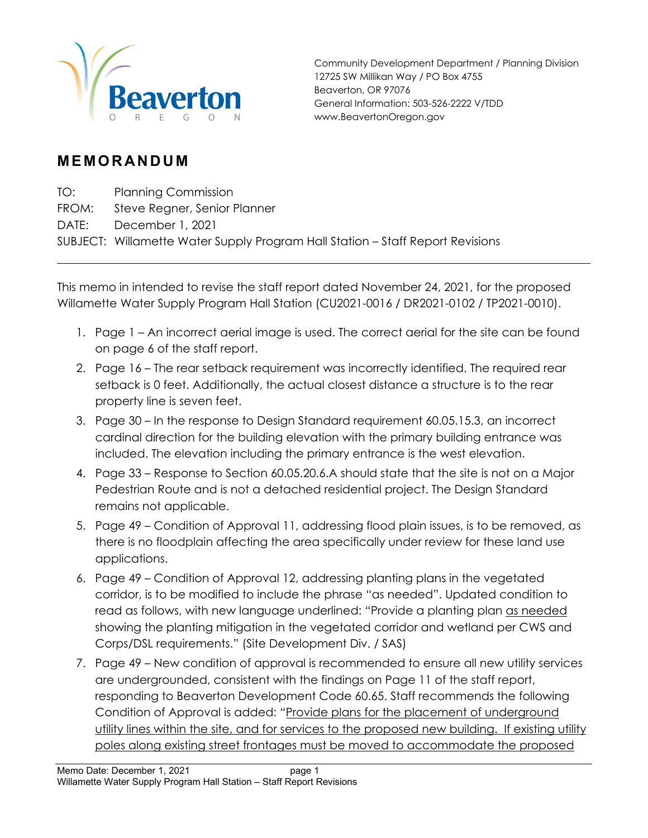

Community Development Department / Planning Division 12725 SW Millikan Way / PO Box 4755 Beaverton, OR 97076 General Information: 503-526-2222 V/TDD www.BeavertonOregon.gov

## **MEMORANDUM**

TO: Planning Commission

FROM: Steve Regner, Senior Planner

DATE: December 1, 2021

SUBJECT: Willamette Water Supply Program Hall Station – Staff Report Revisions

This memo in intended to revise the staff report dated November 24, 2021, for the proposed Willamette Water Supply Program Hall Station (CU2021-0016 / DR2021-0102 / TP2021-0010).

- 1. Page 1 An incorrect aerial image is used. The correct aerial for the site can be found on page 6 of the staff report.
- 2. Page 16 The rear setback requirement was incorrectly identified. The required rear setback is 0 feet. Additionally, the actual closest distance a structure is to the rear property line is seven feet.
- 3. Page 30 In the response to Design Standard requirement 60.05.15.3, an incorrect cardinal direction for the building elevation with the primary building entrance was included. The elevation including the primary entrance is the west elevation.
- 4. Page 33 Response to Section 60.05.20.6.A should state that the site is not on a Major Pedestrian Route and is not a detached residential project. The Design Standard remains not applicable.
- 5. Page 49 Condition of Approval 11, addressing flood plain issues, is to be removed, as there is no floodplain affecting the area specifically under review for these land use applications.
- 6. Page 49 Condition of Approval 12, addressing planting plans in the vegetated corridor, is to be modified to include the phrase "as needed". Updated condition to read as follows, with new language underlined: "Provide a planting plan as needed showing the planting mitigation in the vegetated corridor and wetland per CWS and Corps/DSL requirements." (Site Development Div. / SAS)
- 7. Page 49 New condition of approval is recommended to ensure all new utility services are undergrounded, consistent with the findings on Page 11 of the staff report, responding to Beaverton Development Code 60.65. Staff recommends the following Condition of Approval is added: "Provide plans for the placement of underground utility lines within the site, and for services to the proposed new building. If existing utility poles along existing street frontages must be moved to accommodate the proposed